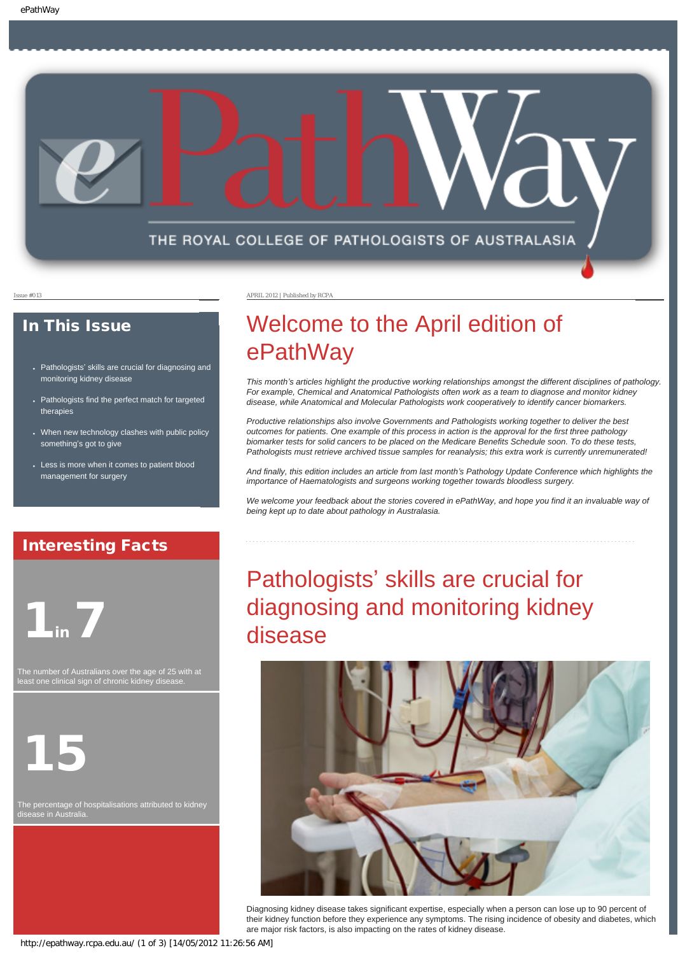

#### In This Issue

- Pathologists' [skills are crucial for diagnosing and](#page-0-0) [monitoring kidney disease](#page-0-0)
- Pathologists find the perfect match for targeted [therapies](#page-1-0)
- When new technology clashes with public policy something'[s got to give](#page-1-1)
- Less is more when it comes to patient blood [management for surgery](#page-1-2)

#### Issue #013 APRIL 2012 | Published by RCPA

# Welcome to the April edition of ePathWay

*This month's articles highlight the productive working relationships amongst the different disciplines of pathology. For example, Chemical and Anatomical Pathologists often work as a team to diagnose and monitor kidney disease, while Anatomical and Molecular Pathologists work cooperatively to identify cancer biomarkers.*

*Productive relationships also involve Governments and Pathologists working together to deliver the best outcomes for patients. One example of this process in action is the approval for the first three pathology biomarker tests for solid cancers to be placed on the Medicare Benefits Schedule soon. To do these tests, Pathologists must retrieve archived tissue samples for reanalysis; this extra work is currently unremunerated!* 

*And finally, this edition includes an article from last month's Pathology Update Conference which highlights the importance of Haematologists and surgeons working together towards bloodless surgery.*

*We welcome your feedback about the stories covered in ePathWay, and hope you find it an invaluable way of being kept up to date about pathology in Australasia.*

#### Interesting Facts

<span id="page-0-0"></span>

The number of Australians over the age of 25 with at least one clinical sign of chronic kidney disease.



The percentage of hospitalisations attributed to kidney disease in Australia.

# Pathologists' skills are crucial for diagnosing and monitoring kidney disease



Diagnosing kidney disease takes significant expertise, especially when a person can lose up to 90 percent of their kidney function before they experience any symptoms. The rising incidence of obesity and diabetes, which are major risk factors, is also impacting on the rates of kidney disease.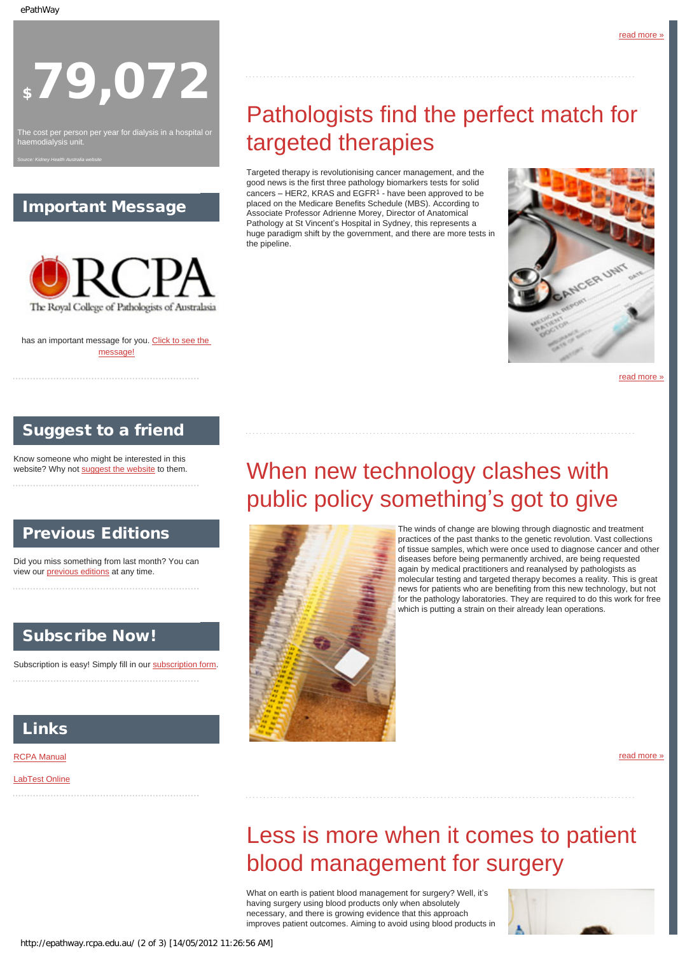# \$79,072

<span id="page-1-0"></span>The cost per person per year for dialysis in a hospital or haemodialysis unit.

*Source: Kidney Health Australia website*

### Important Message



has an important message for you. [Click to see the](http://epathway.rcpa.edu.au/notice.html) [message!](http://epathway.rcpa.edu.au/notice.html)

# Pathologists find the perfect match for targeted therapies

Targeted therapy is revolutionising cancer management, and the good news is the first three pathology biomarkers tests for solid cancers – HER2, KRAS and EGFR1 - have been approved to be placed on the Medicare Benefits Schedule (MBS). According to Associate Professor Adrienne Morey, Director of Anatomical Pathology at St Vincent's Hospital in Sydney, this represents a huge paradigm shift by the government, and there are more tests in the pipeline.



[read more »](#page-5-0)

### Suggest to a friend

<span id="page-1-1"></span>Know someone who might be interested in this website? Why not [suggest the website](mailto:?Subject=I%20think%20you%20should%20read%20this%20Newsletter=
http://epathway.rcpa.edu.au/index.html) to them.

### Previous Editions

Did you miss something from last month? You can view our *previous editions* at any time.

### Subscribe Now!

Subscription is easy! Simply fill in our [subscription form.](http://epathway.rcpa.edu.au/subscription.html)

### **Links**

**[RCPA Manual](http://rcpamanual.edu.au/)** 

<span id="page-1-2"></span>[LabTest Online](http://www.labtestsonline.org.au/)

# When new technology clashes with public policy something's got to give



The winds of change are blowing through diagnostic and treatment practices of the past thanks to the genetic revolution. Vast collections of tissue samples, which were once used to diagnose cancer and other diseases before being permanently archived, are being requested again by medical practitioners and reanalysed by pathologists as molecular testing and targeted therapy becomes a reality. This is great news for patients who are benefiting from this new technology, but not for the pathology laboratories. They are required to do this work for free which is putting a strain on their already lean operations.

[read more »](#page-7-0)

# Less is more when it comes to patient blood management for surgery

What on earth is patient blood management for surgery? Well, it's having surgery using blood products only when absolutely necessary, and there is growing evidence that this approach improves patient outcomes. Aiming to avoid using blood products in

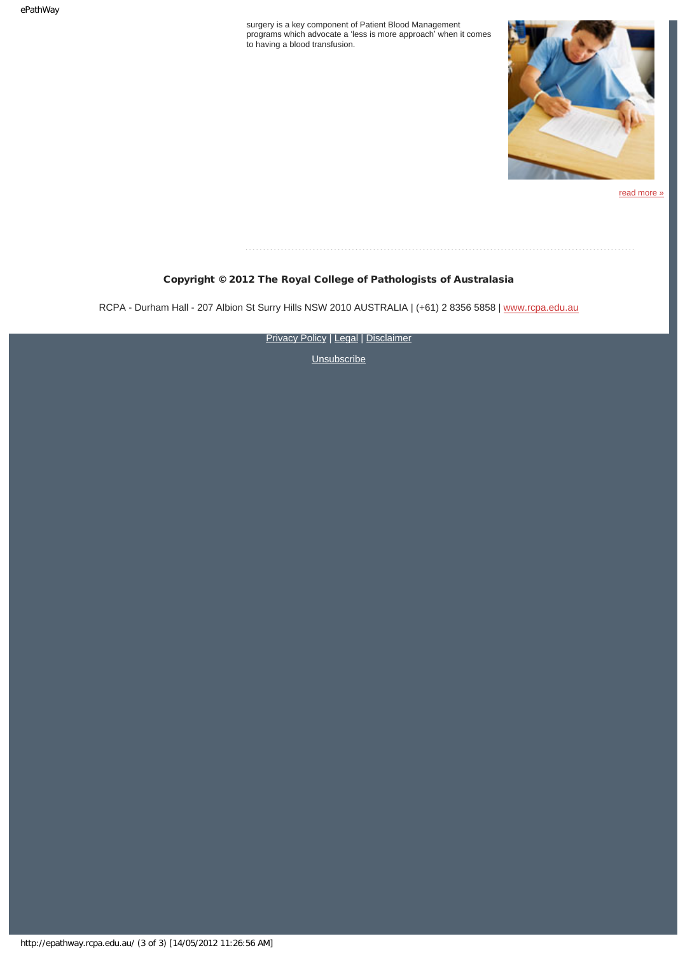surgery is a key component of Patient Blood Management programs which advocate a 'less is more approach' when it comes to having a blood transfusion.



[read more »](#page-9-0)

#### Copyright © 2012 The Royal College of Pathologists of Australasia

RCPA - Durham Hall - 207 Albion St Surry Hills NSW 2010 AUSTRALIA | (+61) 2 8356 5858 | [www.rcpa.edu.au](http://www.rcpa.edu.au/)

**[Privacy Policy](http://www.rcpa.edu.au/Privacy.htm) | [Legal](http://www.rcpa.edu.au/Legal.htm) | [Disclaimer](http://www.rcpa.edu.au/Disclaimer.htm)**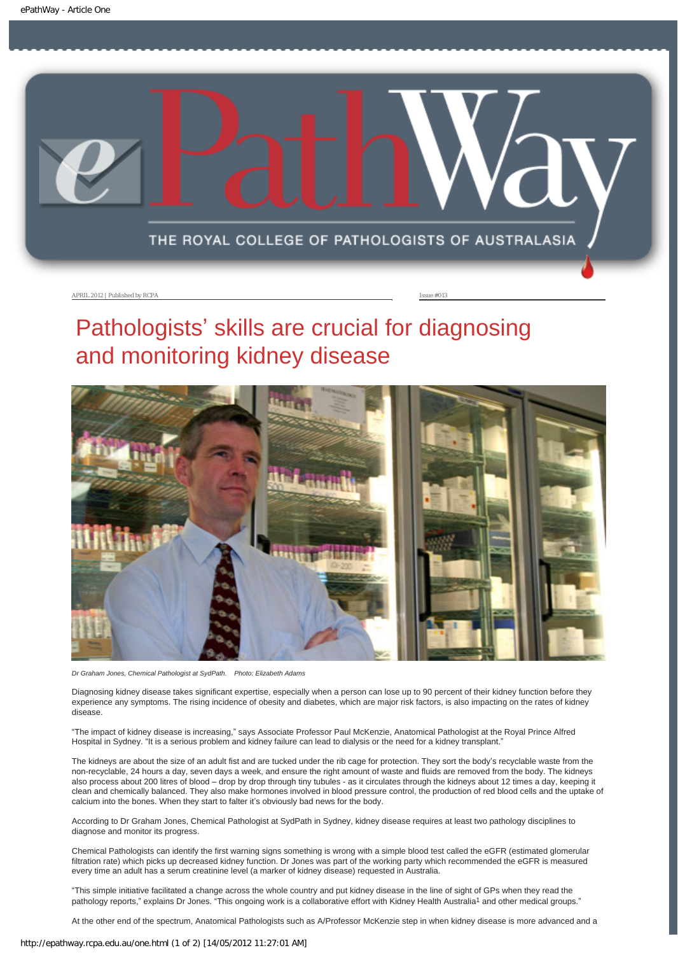<span id="page-3-0"></span>

APRIL 2012 | Published by RCPA Issue #013

# Pathologists' skills are crucial for diagnosing and monitoring kidney disease



*Dr Graham Jones, Chemical Pathologist at SydPath. Photo: Elizabeth Adams*

Diagnosing kidney disease takes significant expertise, especially when a person can lose up to 90 percent of their kidney function before they experience any symptoms. The rising incidence of obesity and diabetes, which are major risk factors, is also impacting on the rates of kidney disease.

"The impact of kidney disease is increasing," says Associate Professor Paul McKenzie, Anatomical Pathologist at the Royal Prince Alfred Hospital in Sydney. "It is a serious problem and kidney failure can lead to dialysis or the need for a kidney transplant."

The kidneys are about the size of an adult fist and are tucked under the rib cage for protection. They sort the body's recyclable waste from the non-recyclable, 24 hours a day, seven days a week, and ensure the right amount of waste and fluids are removed from the body. The kidneys also process about 200 litres of blood – drop by drop through tiny tubules - as it circulates through the kidneys about 12 times a day, keeping it clean and chemically balanced. They also make hormones involved in blood pressure control, the production of red blood cells and the uptake of calcium into the bones. When they start to falter it's obviously bad news for the body.

According to Dr Graham Jones, Chemical Pathologist at SydPath in Sydney, kidney disease requires at least two pathology disciplines to diagnose and monitor its progress.

Chemical Pathologists can identify the first warning signs something is wrong with a simple blood test called the eGFR (estimated glomerular filtration rate) which picks up decreased kidney function. Dr Jones was part of the working party which recommended the eGFR is measured every time an adult has a serum creatinine level (a marker of kidney disease) requested in Australia.

"This simple initiative facilitated a change across the whole country and put kidney disease in the line of sight of GPs when they read the pathology reports," explains Dr Jones. "This ongoing work is a collaborative effort with Kidney Health Australia<sup>1</sup> and other medical groups."

At the other end of the spectrum, Anatomical Pathologists such as A/Professor McKenzie step in when kidney disease is more advanced and a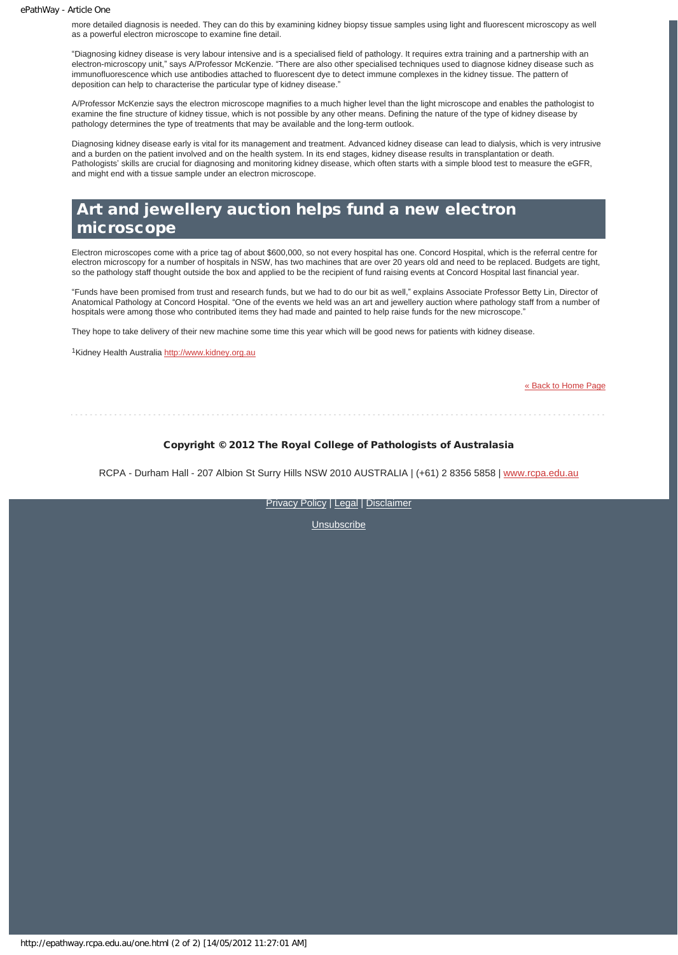more detailed diagnosis is needed. They can do this by examining kidney biopsy tissue samples using light and fluorescent microscopy as well as a powerful electron microscope to examine fine detail.

"Diagnosing kidney disease is very labour intensive and is a specialised field of pathology. It requires extra training and a partnership with an electron-microscopy unit," says A/Professor McKenzie. "There are also other specialised techniques used to diagnose kidney disease such as immunofluorescence which use antibodies attached to fluorescent dye to detect immune complexes in the kidney tissue. The pattern of deposition can help to characterise the particular type of kidney disease."

A/Professor McKenzie says the electron microscope magnifies to a much higher level than the light microscope and enables the pathologist to examine the fine structure of kidney tissue, which is not possible by any other means. Defining the nature of the type of kidney disease by pathology determines the type of treatments that may be available and the long-term outlook.

Diagnosing kidney disease early is vital for its management and treatment. Advanced kidney disease can lead to dialysis, which is very intrusive and a burden on the patient involved and on the health system. In its end stages, kidney disease results in transplantation or death. Pathologists' skills are crucial for diagnosing and monitoring kidney disease, which often starts with a simple blood test to measure the eGFR, and might end with a tissue sample under an electron microscope.

### Art and jewellery auction helps fund a new electron microscope

Electron microscopes come with a price tag of about \$600,000, so not every hospital has one. Concord Hospital, which is the referral centre for electron microscopy for a number of hospitals in NSW, has two machines that are over 20 years old and need to be replaced. Budgets are tight, so the pathology staff thought outside the box and applied to be the recipient of fund raising events at Concord Hospital last financial year.

"Funds have been promised from trust and research funds, but we had to do our bit as well," explains Associate Professor Betty Lin, Director of Anatomical Pathology at Concord Hospital. "One of the events we held was an art and jewellery auction where pathology staff from a number of hospitals were among those who contributed items they had made and painted to help raise funds for the new microscope."

They hope to take delivery of their new machine some time this year which will be good news for patients with kidney disease.

1Kidney Health Australia [http://www.kidney.org.au](http://www.kidney.org.au/)

[« Back to Home Page](http://epathway.rcpa.edu.au/index.html)

#### Copyright © 2012 The Royal College of Pathologists of Australasia

RCPA - Durham Hall - 207 Albion St Surry Hills NSW 2010 AUSTRALIA | (+61) 2 8356 5858 | [www.rcpa.edu.au](http://www.rcpa.edu.au/)

[Privacy Policy](http://www.rcpa.edu.au/Privacy.htm) | [Legal](http://www.rcpa.edu.au/Legal.htm) | [Disclaimer](http://www.rcpa.edu.au/Disclaimer.htm)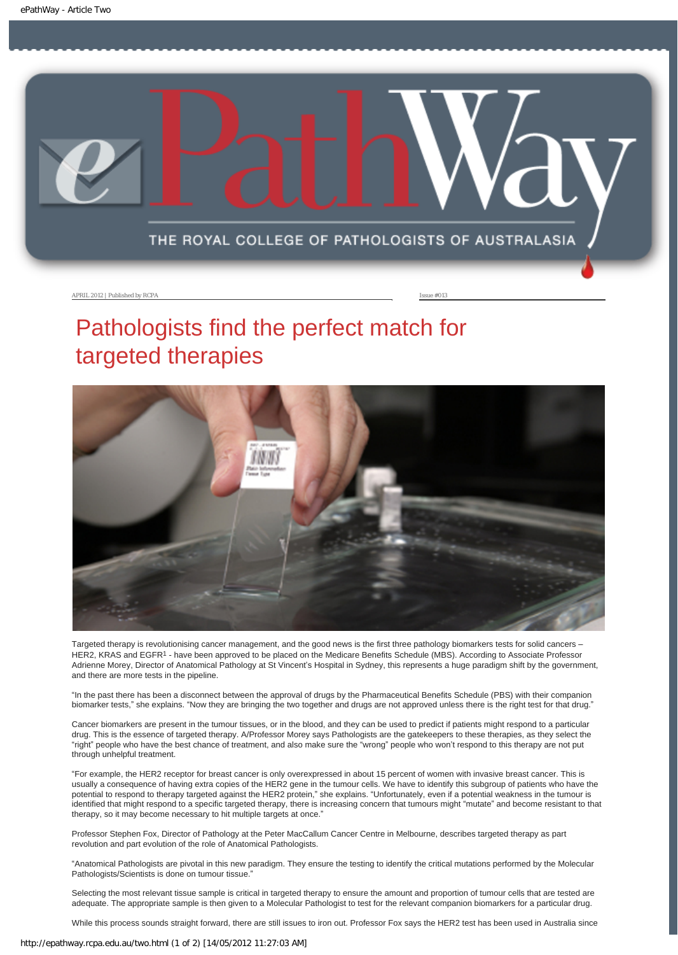<span id="page-5-0"></span>

APRIL 2012 | Published by RCPA Issue #013

# Pathologists find the perfect match for targeted therapies



Targeted therapy is revolutionising cancer management, and the good news is the first three pathology biomarkers tests for solid cancers – HER2, KRAS and EGFR<sup>1</sup> - have been approved to be placed on the Medicare Benefits Schedule (MBS). According to Associate Professor Adrienne Morey, Director of Anatomical Pathology at St Vincent's Hospital in Sydney, this represents a huge paradigm shift by the government, and there are more tests in the pipeline.

"In the past there has been a disconnect between the approval of drugs by the Pharmaceutical Benefits Schedule (PBS) with their companion biomarker tests," she explains. "Now they are bringing the two together and drugs are not approved unless there is the right test for that drug."

Cancer biomarkers are present in the tumour tissues, or in the blood, and they can be used to predict if patients might respond to a particular drug. This is the essence of targeted therapy. A/Professor Morey says Pathologists are the gatekeepers to these therapies, as they select the "right" people who have the best chance of treatment, and also make sure the "wrong" people who won't respond to this therapy are not put through unhelpful treatment.

"For example, the HER2 receptor for breast cancer is only overexpressed in about 15 percent of women with invasive breast cancer. This is usually a consequence of having extra copies of the HER2 gene in the tumour cells. We have to identify this subgroup of patients who have the potential to respond to therapy targeted against the HER2 protein," she explains. "Unfortunately, even if a potential weakness in the tumour is identified that might respond to a specific targeted therapy, there is increasing concern that tumours might "mutate" and become resistant to that therapy, so it may become necessary to hit multiple targets at once."

Professor Stephen Fox, Director of Pathology at the Peter MacCallum Cancer Centre in Melbourne, describes targeted therapy as part revolution and part evolution of the role of Anatomical Pathologists.

"Anatomical Pathologists are pivotal in this new paradigm. They ensure the testing to identify the critical mutations performed by the Molecular Pathologists/Scientists is done on tumour tissue.'

Selecting the most relevant tissue sample is critical in targeted therapy to ensure the amount and proportion of tumour cells that are tested are adequate. The appropriate sample is then given to a Molecular Pathologist to test for the relevant companion biomarkers for a particular drug.

While this process sounds straight forward, there are still issues to iron out. Professor Fox says the HER2 test has been used in Australia since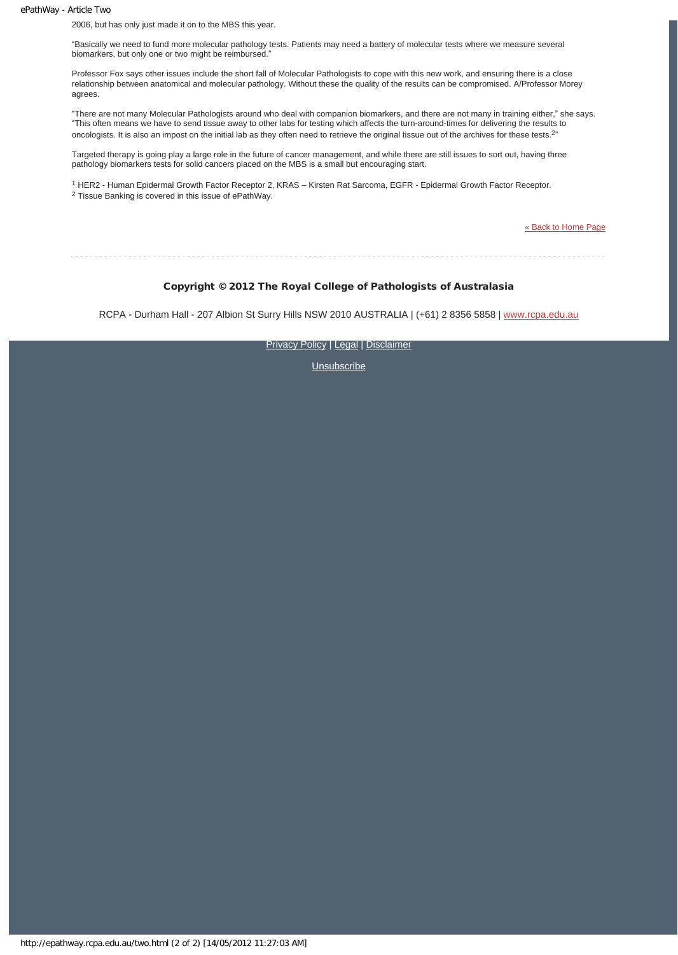ePathWay - Article Two

2006, but has only just made it on to the MBS this year.

"Basically we need to fund more molecular pathology tests. Patients may need a battery of molecular tests where we measure several biomarkers, but only one or two might be reimbursed."

Professor Fox says other issues include the short fall of Molecular Pathologists to cope with this new work, and ensuring there is a close relationship between anatomical and molecular pathology. Without these the quality of the results can be compromised. A/Professor Morey agrees.

"There are not many Molecular Pathologists around who deal with companion biomarkers, and there are not many in training either," she says. "This often means we have to send tissue away to other labs for testing which affects the turn-around-times for delivering the results to oncologists. It is also an impost on the initial lab as they often need to retrieve the original tissue out of the archives for these tests.<sup>2"</sup>

Targeted therapy is going play a large role in the future of cancer management, and while there are still issues to sort out, having three pathology biomarkers tests for solid cancers placed on the MBS is a small but encouraging start.

1 HER2 - Human Epidermal Growth Factor Receptor 2, KRAS – Kirsten Rat Sarcoma, EGFR - Epidermal Growth Factor Receptor. 2 Tissue Banking is covered in this issue of ePathWay.

[« Back to Home Page](http://epathway.rcpa.edu.au/index.html)

Copyright © 2012 The Royal College of Pathologists of Australasia

RCPA - Durham Hall - 207 Albion St Surry Hills NSW 2010 AUSTRALIA | (+61) 2 8356 5858 | [www.rcpa.edu.au](http://www.rcpa.edu.au/)

[Privacy Policy](http://www.rcpa.edu.au/Privacy.htm) | [Legal](http://www.rcpa.edu.au/Legal.htm) | [Disclaimer](http://www.rcpa.edu.au/Disclaimer.htm)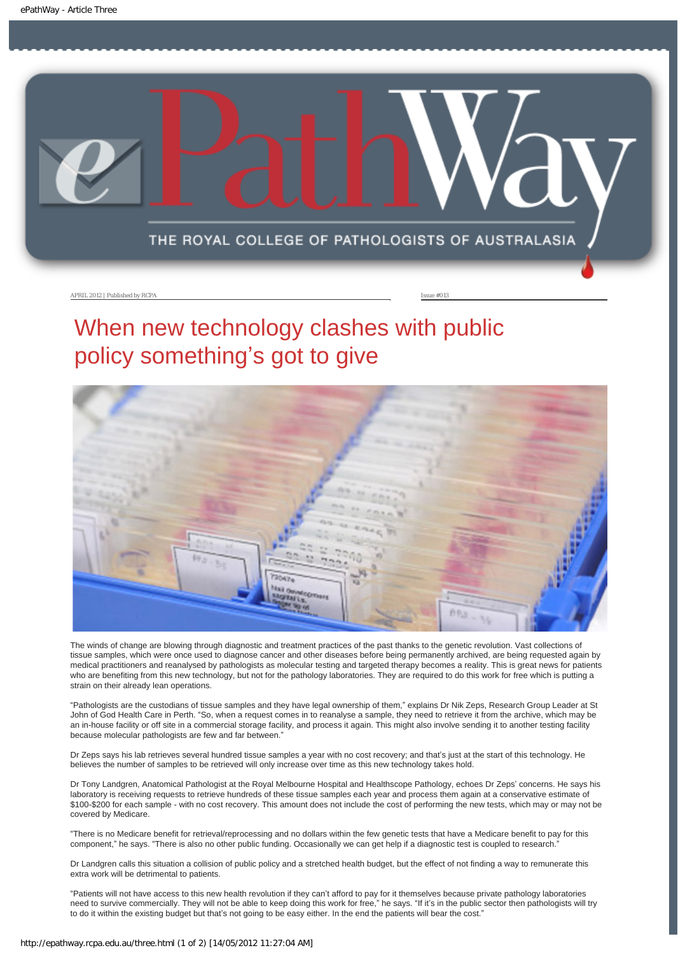<span id="page-7-0"></span>

APRIL 2012 | Published by RCPA **Issue #013** 

# When new technology clashes with public policy something's got to give



The winds of change are blowing through diagnostic and treatment practices of the past thanks to the genetic revolution. Vast collections of tissue samples, which were once used to diagnose cancer and other diseases before being permanently archived, are being requested again by medical practitioners and reanalysed by pathologists as molecular testing and targeted therapy becomes a reality. This is great news for patients who are benefiting from this new technology, but not for the pathology laboratories. They are required to do this work for free which is putting a strain on their already lean operations.

"Pathologists are the custodians of tissue samples and they have legal ownership of them," explains Dr Nik Zeps, Research Group Leader at St John of God Health Care in Perth. "So, when a request comes in to reanalyse a sample, they need to retrieve it from the archive, which may be an in-house facility or off site in a commercial storage facility, and process it again. This might also involve sending it to another testing facility because molecular pathologists are few and far between."

Dr Zeps says his lab retrieves several hundred tissue samples a year with no cost recovery; and that's just at the start of this technology. He believes the number of samples to be retrieved will only increase over time as this new technology takes hold.

Dr Tony Landgren, Anatomical Pathologist at the Royal Melbourne Hospital and Healthscope Pathology, echoes Dr Zeps' concerns. He says his laboratory is receiving requests to retrieve hundreds of these tissue samples each year and process them again at a conservative estimate of \$100-\$200 for each sample - with no cost recovery. This amount does not include the cost of performing the new tests, which may or may not be covered by Medicare.

"There is no Medicare benefit for retrieval/reprocessing and no dollars within the few genetic tests that have a Medicare benefit to pay for this component," he says. "There is also no other public funding. Occasionally we can get help if a diagnostic test is coupled to research."

Dr Landgren calls this situation a collision of public policy and a stretched health budget, but the effect of not finding a way to remunerate this extra work will be detrimental to patients.

"Patients will not have access to this new health revolution if they can't afford to pay for it themselves because private pathology laboratories need to survive commercially. They will not be able to keep doing this work for free," he says. "If it's in the public sector then pathologists will try to do it within the existing budget but that's not going to be easy either. In the end the patients will bear the cost."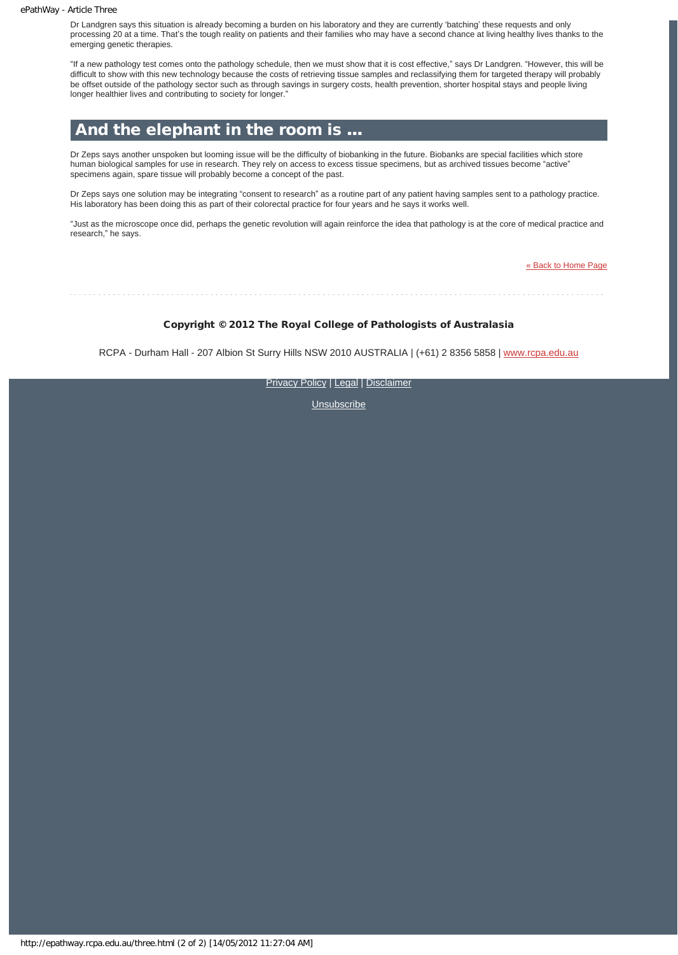#### ePathWay - Article Three

Dr Landgren says this situation is already becoming a burden on his laboratory and they are currently 'batching' these requests and only processing 20 at a time. That's the tough reality on patients and their families who may have a second chance at living healthy lives thanks to the emerging genetic therapies.

"If a new pathology test comes onto the pathology schedule, then we must show that it is cost effective," says Dr Landgren. "However, this will be difficult to show with this new technology because the costs of retrieving tissue samples and reclassifying them for targeted therapy will probably be offset outside of the pathology sector such as through savings in surgery costs, health prevention, shorter hospital stays and people living longer healthier lives and contributing to society for longer."

#### And the elephant in the room is …

Dr Zeps says another unspoken but looming issue will be the difficulty of biobanking in the future. Biobanks are special facilities which store human biological samples for use in research. They rely on access to excess tissue specimens, but as archived tissues become "active" specimens again, spare tissue will probably become a concept of the past.

Dr Zeps says one solution may be integrating "consent to research" as a routine part of any patient having samples sent to a pathology practice. His laboratory has been doing this as part of their colorectal practice for four years and he says it works well.

"Just as the microscope once did, perhaps the genetic revolution will again reinforce the idea that pathology is at the core of medical practice and research," he says.

[« Back to Home Page](http://epathway.rcpa.edu.au/index.html)

Copyright © 2012 The Royal College of Pathologists of Australasia

RCPA - Durham Hall - 207 Albion St Surry Hills NSW 2010 AUSTRALIA | (+61) 2 8356 5858 | [www.rcpa.edu.au](http://www.rcpa.edu.au/)

[Privacy Policy](http://www.rcpa.edu.au/Privacy.htm) | [Legal](http://www.rcpa.edu.au/Legal.htm) | [Disclaimer](http://www.rcpa.edu.au/Disclaimer.htm)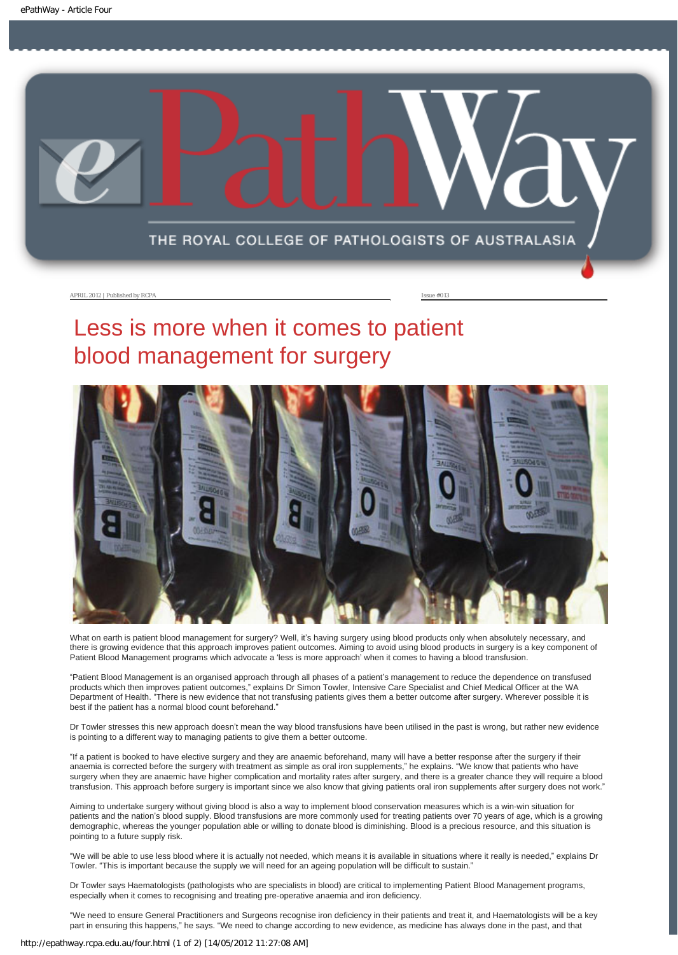<span id="page-9-0"></span>

#### APRIL 2012 | Published by RCPA **Issue #013**

# Less is more when it comes to patient blood management for surgery



What on earth is patient blood management for surgery? Well, it's having surgery using blood products only when absolutely necessary, and there is growing evidence that this approach improves patient outcomes. Aiming to avoid using blood products in surgery is a key component of Patient Blood Management programs which advocate a 'less is more approach' when it comes to having a blood transfusion.

"Patient Blood Management is an organised approach through all phases of a patient's management to reduce the dependence on transfused products which then improves patient outcomes," explains Dr Simon Towler, Intensive Care Specialist and Chief Medical Officer at the WA Department of Health. "There is new evidence that not transfusing patients gives them a better outcome after surgery. Wherever possible it is best if the patient has a normal blood count beforehand."

Dr Towler stresses this new approach doesn't mean the way blood transfusions have been utilised in the past is wrong, but rather new evidence is pointing to a different way to managing patients to give them a better outcome.

"If a patient is booked to have elective surgery and they are anaemic beforehand, many will have a better response after the surgery if their anaemia is corrected before the surgery with treatment as simple as oral iron supplements," he explains. "We know that patients who have surgery when they are anaemic have higher complication and mortality rates after surgery, and there is a greater chance they will require a blood transfusion. This approach before surgery is important since we also know that giving patients oral iron supplements after surgery does not work."

Aiming to undertake surgery without giving blood is also a way to implement blood conservation measures which is a win-win situation for patients and the nation's blood supply. Blood transfusions are more commonly used for treating patients over 70 years of age, which is a growing demographic, whereas the younger population able or willing to donate blood is diminishing. Blood is a precious resource, and this situation is pointing to a future supply risk.

"We will be able to use less blood where it is actually not needed, which means it is available in situations where it really is needed," explains Dr Towler. "This is important because the supply we will need for an ageing population will be difficult to sustain."

Dr Towler says Haematologists (pathologists who are specialists in blood) are critical to implementing Patient Blood Management programs, especially when it comes to recognising and treating pre-operative anaemia and iron deficiency.

"We need to ensure General Practitioners and Surgeons recognise iron deficiency in their patients and treat it, and Haematologists will be a key part in ensuring this happens," he says. "We need to change according to new evidence, as medicine has always done in the past, and that